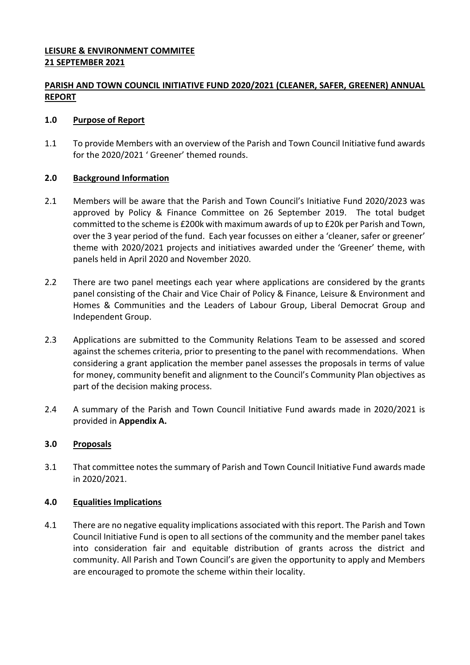## **LEISURE & ENVIRONMENT COMMITEE 21 SEPTEMBER 2021**

# **PARISH AND TOWN COUNCIL INITIATIVE FUND 2020/2021 (CLEANER, SAFER, GREENER) ANNUAL REPORT**

### **1.0 Purpose of Report**

1.1 To provide Members with an overview of the Parish and Town Council Initiative fund awards for the 2020/2021 ' Greener' themed rounds.

## **2.0 Background Information**

- 2.1 Members will be aware that the Parish and Town Council's Initiative Fund 2020/2023 was approved by Policy & Finance Committee on 26 September 2019. The total budget committed to the scheme is £200k with maximum awards of up to £20k per Parish and Town, over the 3 year period of the fund. Each year focusses on either a 'cleaner, safer or greener' theme with 2020/2021 projects and initiatives awarded under the 'Greener' theme, with panels held in April 2020 and November 2020.
- 2.2 There are two panel meetings each year where applications are considered by the grants panel consisting of the Chair and Vice Chair of Policy & Finance, Leisure & Environment and Homes & Communities and the Leaders of Labour Group, Liberal Democrat Group and Independent Group.
- 2.3 Applications are submitted to the Community Relations Team to be assessed and scored against the schemes criteria, prior to presenting to the panel with recommendations. When considering a grant application the member panel assesses the proposals in terms of value for money, community benefit and alignment to the Council's Community Plan objectives as part of the decision making process.
- 2.4 A summary of the Parish and Town Council Initiative Fund awards made in 2020/2021 is provided in **Appendix A.**

## **3.0 Proposals**

3.1 That committee notes the summary of Parish and Town Council Initiative Fund awards made in 2020/2021.

### **4.0 Equalities Implications**

4.1 There are no negative equality implications associated with this report. The Parish and Town Council Initiative Fund is open to all sections of the community and the member panel takes into consideration fair and equitable distribution of grants across the district and community. All Parish and Town Council's are given the opportunity to apply and Members are encouraged to promote the scheme within their locality.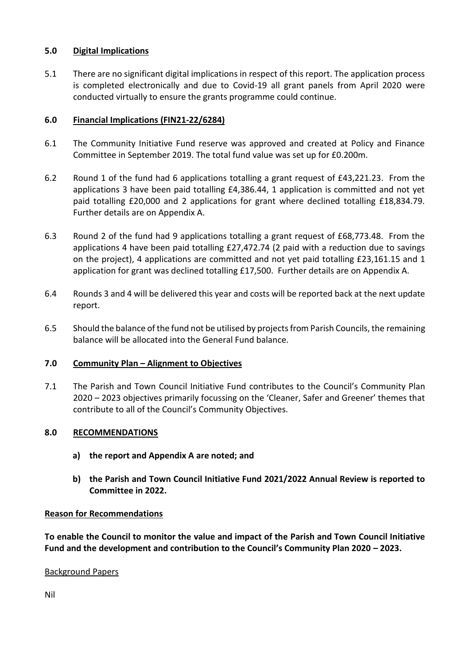## **5.0 Digital Implications**

5.1 There are no significant digital implications in respect of this report. The application process is completed electronically and due to Covid-19 all grant panels from April 2020 were conducted virtually to ensure the grants programme could continue.

## **6.0 Financial Implications (FIN21-22/6284)**

- 6.1 The Community Initiative Fund reserve was approved and created at Policy and Finance Committee in September 2019. The total fund value was set up for £0.200m.
- 6.2 Round 1 of the fund had 6 applications totalling a grant request of £43,221.23. From the applications 3 have been paid totalling £4,386.44, 1 application is committed and not yet paid totalling £20,000 and 2 applications for grant where declined totalling £18,834.79. Further details are on Appendix A.
- 6.3 Round 2 of the fund had 9 applications totalling a grant request of £68,773.48. From the applications 4 have been paid totalling £27,472.74 (2 paid with a reduction due to savings on the project), 4 applications are committed and not yet paid totalling £23,161.15 and 1 application for grant was declined totalling £17,500. Further details are on Appendix A.
- 6.4 Rounds 3 and 4 will be delivered this year and costs will be reported back at the next update report.
- 6.5 Should the balance of the fund not be utilised by projects from Parish Councils, the remaining balance will be allocated into the General Fund balance.

# **7.0 Community Plan – Alignment to Objectives**

7.1 The Parish and Town Council Initiative Fund contributes to the Council's Community Plan 2020 – 2023 objectives primarily focussing on the 'Cleaner, Safer and Greener' themes that contribute to all of the Council's Community Objectives.

### **8.0 RECOMMENDATIONS**

- **a) the report and Appendix A are noted; and**
- **b) the Parish and Town Council Initiative Fund 2021/2022 Annual Review is reported to Committee in 2022.**

### **Reason for Recommendations**

**To enable the Council to monitor the value and impact of the Parish and Town Council Initiative Fund and the development and contribution to the Council's Community Plan 2020 – 2023.**

### Background Papers

Nil